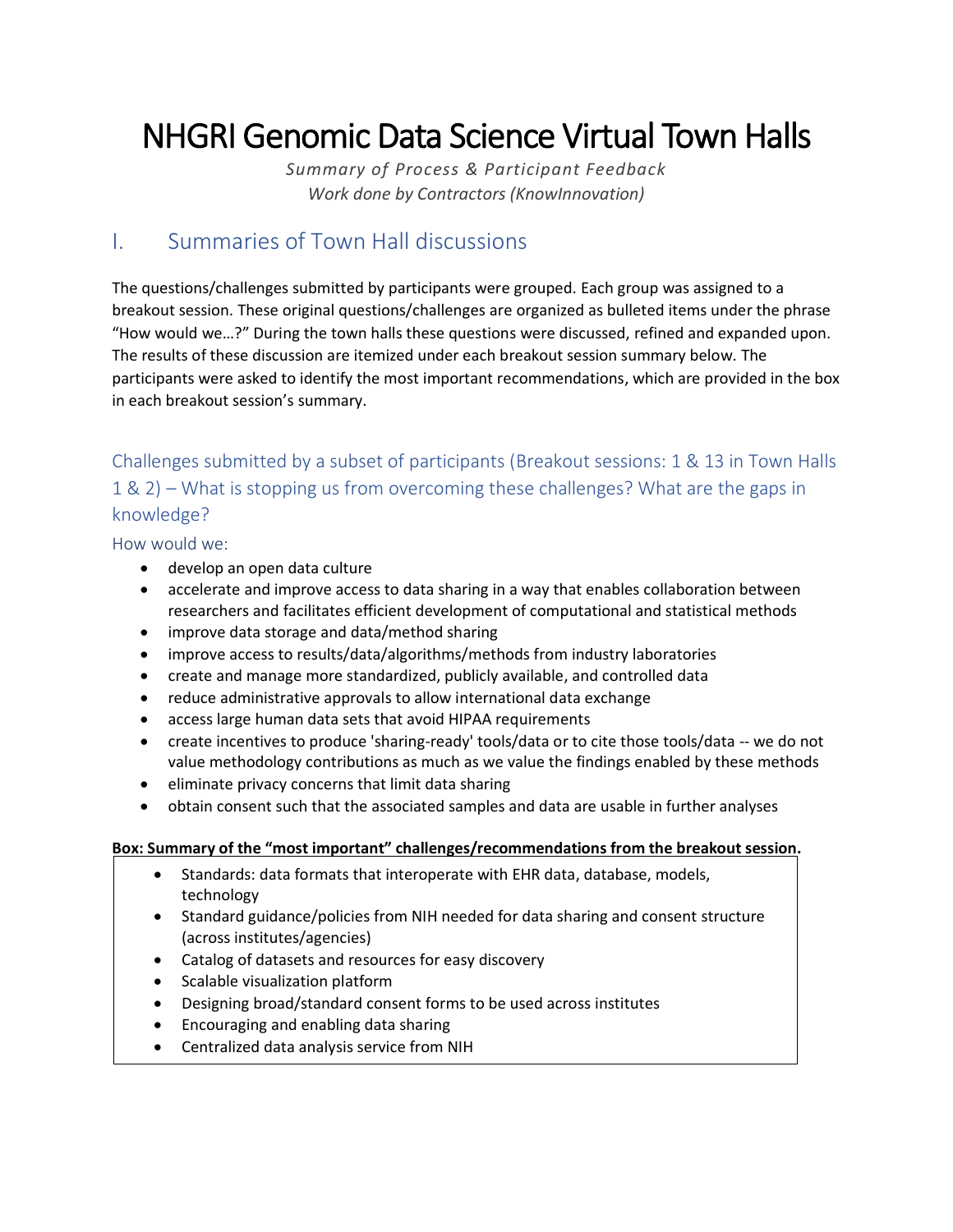# NHGRI Genomic Data Science Virtual Town Halls

*Summary of Process & Participant Feedback Work done by Contractors (KnowInnovation)*

# I. Summaries of Town Hall discussions

The questions/challenges submitted by participants were grouped. Each group was assigned to a breakout session. These original questions/challenges are organized as bulleted items under the phrase "How would we…?" During the town halls these questions were discussed, refined and expanded upon. The results of these discussion are itemized under each breakout session summary below. The participants were asked to identify the most important recommendations, which are provided in the box in each breakout session's summary.

# Challenges submitted by a subset of participants (Breakout sessions: 1 & 13 in Town Halls 1 & 2) – What is stopping us from overcoming these challenges? What are the gaps in knowledge?

How would we:

- develop an open data culture
- accelerate and improve access to data sharing in a way that enables collaboration between researchers and facilitates efficient development of computational and statistical methods
- improve data storage and data/method sharing
- improve access to results/data/algorithms/methods from industry laboratories
- create and manage more standardized, publicly available, and controlled data
- reduce administrative approvals to allow international data exchange
- access large human data sets that avoid HIPAA requirements
- create incentives to produce 'sharing-ready' tools/data or to cite those tools/data -- we do not value methodology contributions as much as we value the findings enabled by these methods
- eliminate privacy concerns that limit data sharing
- obtain consent such that the associated samples and data are usable in further analyses

- Standards: data formats that interoperate with EHR data, database, models, technology
- Standard guidance/policies from NIH needed for data sharing and consent structure (across institutes/agencies)
- Catalog of datasets and resources for easy discovery
- Scalable visualization platform
- Designing broad/standard consent forms to be used across institutes
- Encouraging and enabling data sharing
- Centralized data analysis service from NIH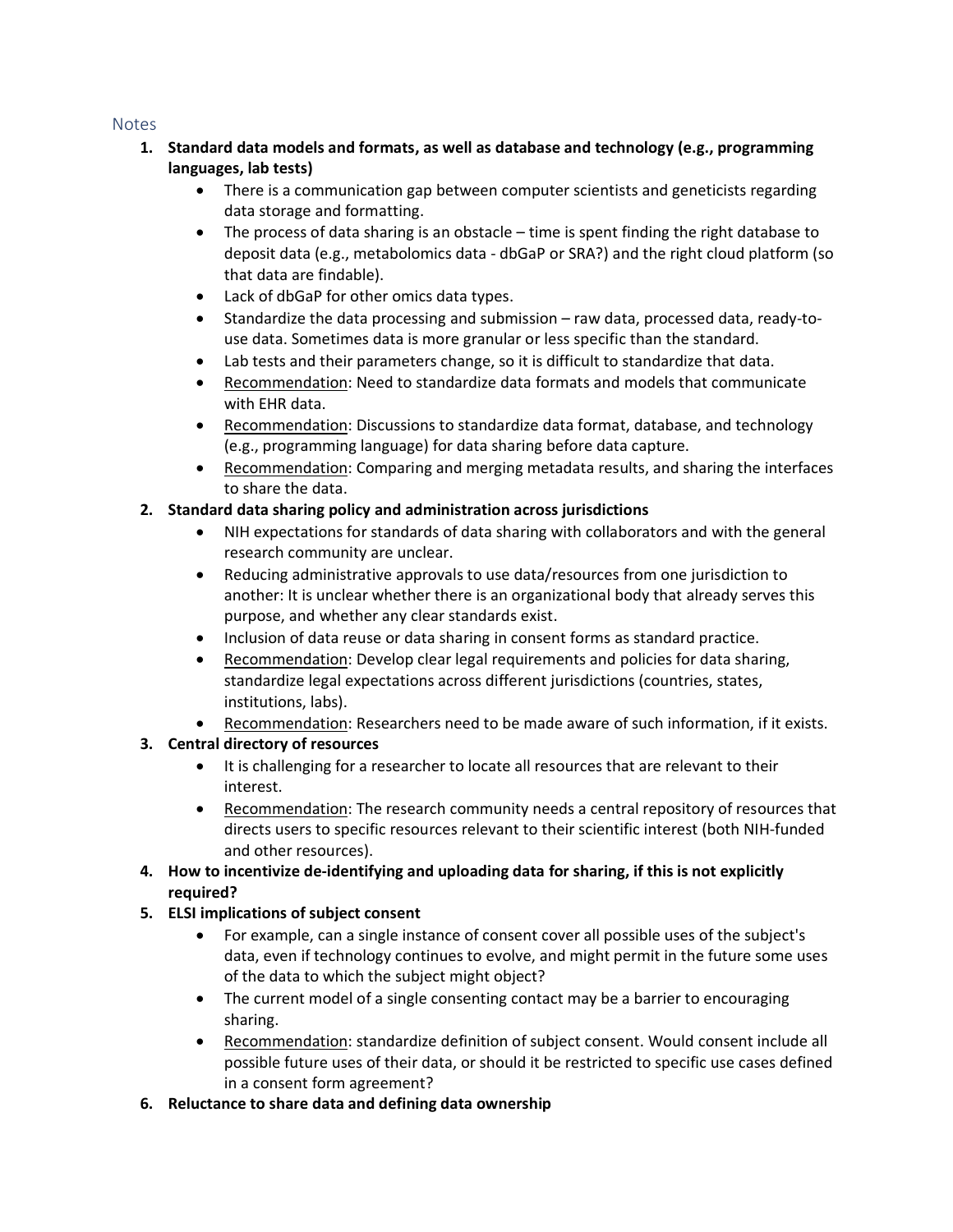- **1. Standard data models and formats, as well as database and technology (e.g., programming languages, lab tests)**
	- There is a communication gap between computer scientists and geneticists regarding data storage and formatting.
	- The process of data sharing is an obstacle time is spent finding the right database to deposit data (e.g., metabolomics data - dbGaP or SRA?) and the right cloud platform (so that data are findable).
	- Lack of dbGaP for other omics data types.
	- Standardize the data processing and submission raw data, processed data, ready-touse data. Sometimes data is more granular or less specific than the standard.
	- Lab tests and their parameters change, so it is difficult to standardize that data.
	- Recommendation: Need to standardize data formats and models that communicate with EHR data.
	- Recommendation: Discussions to standardize data format, database, and technology (e.g., programming language) for data sharing before data capture.
	- Recommendation: Comparing and merging metadata results, and sharing the interfaces to share the data.

# **2. Standard data sharing policy and administration across jurisdictions**

- NIH expectations for standards of data sharing with collaborators and with the general research community are unclear.
- Reducing administrative approvals to use data/resources from one jurisdiction to another: It is unclear whether there is an organizational body that already serves this purpose, and whether any clear standards exist.
- Inclusion of data reuse or data sharing in consent forms as standard practice.
- Recommendation: Develop clear legal requirements and policies for data sharing, standardize legal expectations across different jurisdictions (countries, states, institutions, labs).
- Recommendation: Researchers need to be made aware of such information, if it exists.

# **3. Central directory of resources**

- It is challenging for a researcher to locate all resources that are relevant to their interest.
- Recommendation: The research community needs a central repository of resources that directs users to specific resources relevant to their scientific interest (both NIH-funded and other resources).
- **4. How to incentivize de-identifying and uploading data for sharing, if this is not explicitly required?**
- **5. ELSI implications of subject consent**
	- For example, can a single instance of consent cover all possible uses of the subject's data, even if technology continues to evolve, and might permit in the future some uses of the data to which the subject might object?
	- The current model of a single consenting contact may be a barrier to encouraging sharing.
	- Recommendation: standardize definition of subject consent. Would consent include all possible future uses of their data, or should it be restricted to specific use cases defined in a consent form agreement?
- **6. Reluctance to share data and defining data ownership**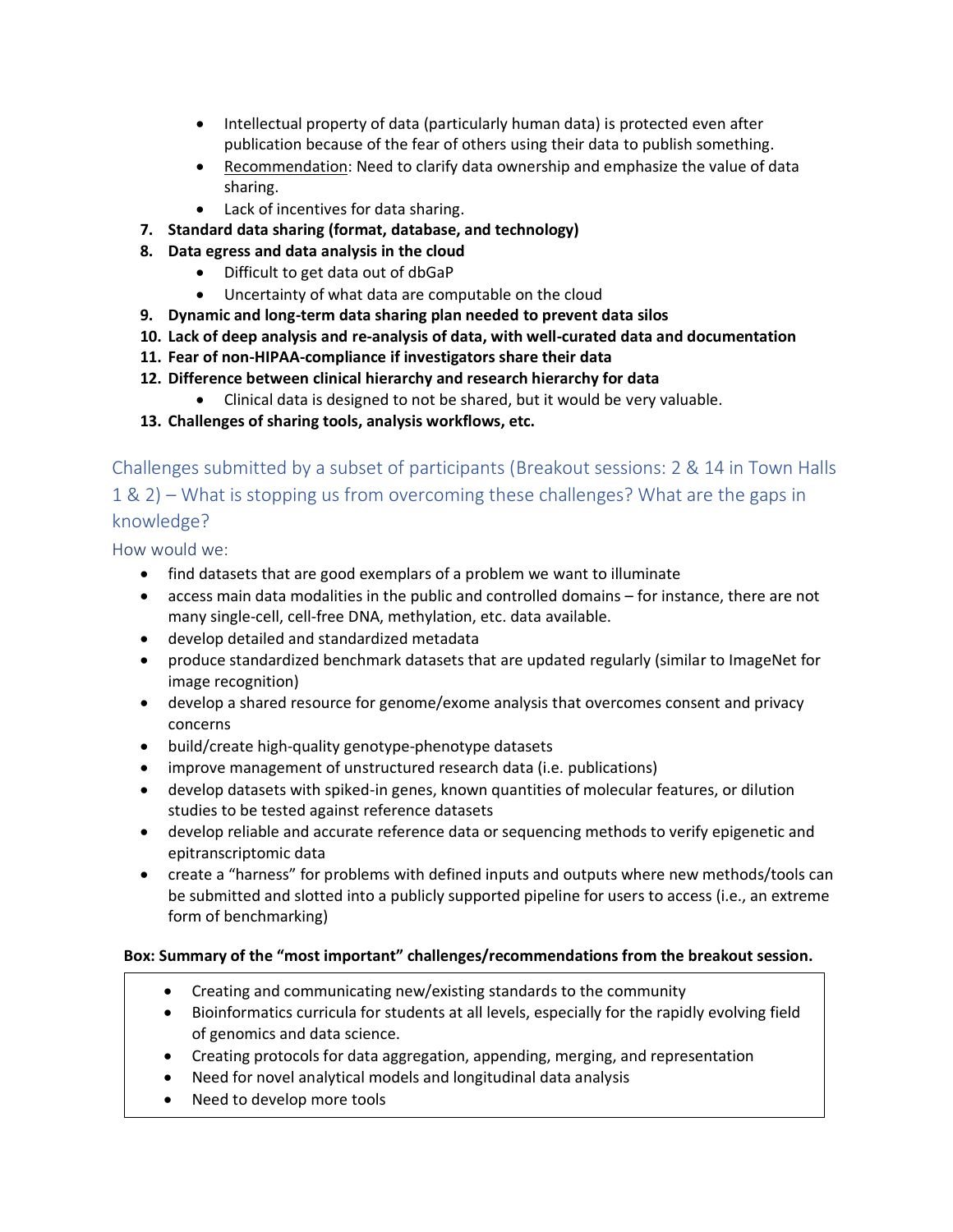- Intellectual property of data (particularly human data) is protected even after publication because of the fear of others using their data to publish something.
- Recommendation: Need to clarify data ownership and emphasize the value of data sharing.
- Lack of incentives for data sharing.
- **7. Standard data sharing (format, database, and technology)**
- **8. Data egress and data analysis in the cloud**
	- Difficult to get data out of dbGaP
	- Uncertainty of what data are computable on the cloud
- **9. Dynamic and long-term data sharing plan needed to prevent data silos**
- **10. Lack of deep analysis and re-analysis of data, with well-curated data and documentation**
- **11. Fear of non-HIPAA-compliance if investigators share their data**
- **12. Difference between clinical hierarchy and research hierarchy for data**
	- Clinical data is designed to not be shared, but it would be very valuable.
- **13. Challenges of sharing tools, analysis workflows, etc.**

Challenges submitted by a subset of participants (Breakout sessions: 2 & 14 in Town Halls 1 & 2) – What is stopping us from overcoming these challenges? What are the gaps in knowledge?

How would we:

- find datasets that are good exemplars of a problem we want to illuminate
- access main data modalities in the public and controlled domains for instance, there are not many single-cell, cell-free DNA, methylation, etc. data available.
- develop detailed and standardized metadata
- produce standardized benchmark datasets that are updated regularly (similar to ImageNet for image recognition)
- develop a shared resource for genome/exome analysis that overcomes consent and privacy concerns
- build/create high-quality genotype-phenotype datasets
- improve management of unstructured research data (i.e. publications)
- develop datasets with spiked-in genes, known quantities of molecular features, or dilution studies to be tested against reference datasets
- develop reliable and accurate reference data or sequencing methods to verify epigenetic and epitranscriptomic data
- create a "harness" for problems with defined inputs and outputs where new methods/tools can be submitted and slotted into a publicly supported pipeline for users to access (i.e., an extreme form of benchmarking)

- Creating and communicating new/existing standards to the community
- Bioinformatics curricula for students at all levels, especially for the rapidly evolving field of genomics and data science.
- Creating protocols for data aggregation, appending, merging, and representation
- Need for novel analytical models and longitudinal data analysis
- Need to develop more tools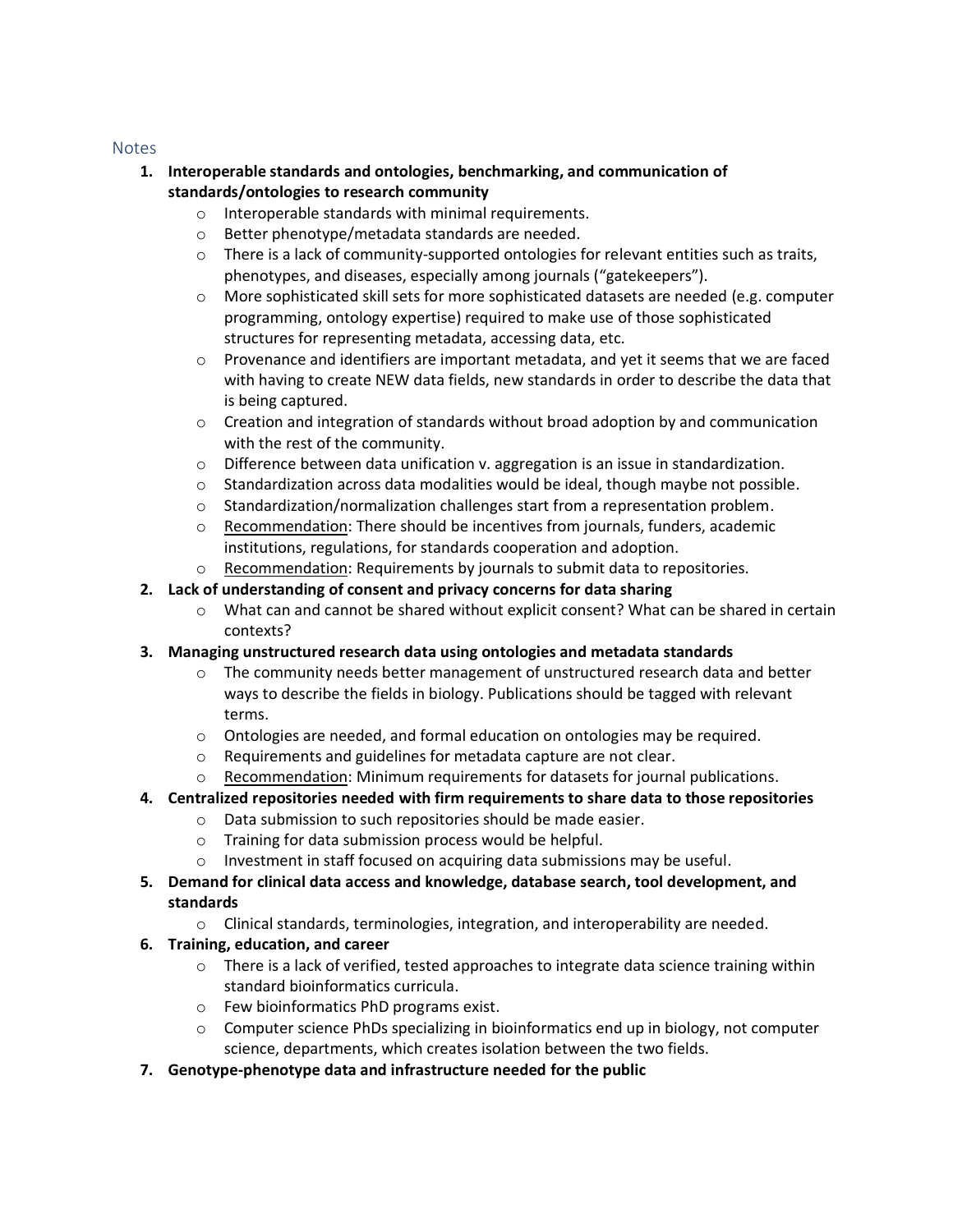- **1. Interoperable standards and ontologies, benchmarking, and communication of standards/ontologies to research community**
	- o Interoperable standards with minimal requirements.
	- o Better phenotype/metadata standards are needed.
	- $\circ$  There is a lack of community-supported ontologies for relevant entities such as traits, phenotypes, and diseases, especially among journals ("gatekeepers").
	- o More sophisticated skill sets for more sophisticated datasets are needed (e.g. computer programming, ontology expertise) required to make use of those sophisticated structures for representing metadata, accessing data, etc.
	- $\circ$  Provenance and identifiers are important metadata, and yet it seems that we are faced with having to create NEW data fields, new standards in order to describe the data that is being captured.
	- $\circ$  Creation and integration of standards without broad adoption by and communication with the rest of the community.
	- $\circ$  Difference between data unification v. aggregation is an issue in standardization.
	- $\circ$  Standardization across data modalities would be ideal, though maybe not possible.
	- o Standardization/normalization challenges start from a representation problem.
	- o Recommendation: There should be incentives from journals, funders, academic institutions, regulations, for standards cooperation and adoption.
	- $\circ$  Recommendation: Requirements by journals to submit data to repositories.
- **2. Lack of understanding of consent and privacy concerns for data sharing**
	- $\circ$  What can and cannot be shared without explicit consent? What can be shared in certain contexts?
- **3. Managing unstructured research data using ontologies and metadata standards**
	- $\circ$  The community needs better management of unstructured research data and better ways to describe the fields in biology. Publications should be tagged with relevant terms.
	- o Ontologies are needed, and formal education on ontologies may be required.
	- o Requirements and guidelines for metadata capture are not clear.
	- o Recommendation: Minimum requirements for datasets for journal publications.
- **4. Centralized repositories needed with firm requirements to share data to those repositories**
	- o Data submission to such repositories should be made easier.
	- o Training for data submission process would be helpful.
	- o Investment in staff focused on acquiring data submissions may be useful.
- **5. Demand for clinical data access and knowledge, database search, tool development, and standards**
	- o Clinical standards, terminologies, integration, and interoperability are needed.
- **6. Training, education, and career**
	- $\circ$  There is a lack of verified, tested approaches to integrate data science training within standard bioinformatics curricula.
	- o Few bioinformatics PhD programs exist.
	- $\circ$  Computer science PhDs specializing in bioinformatics end up in biology, not computer science, departments, which creates isolation between the two fields.
- **7. Genotype-phenotype data and infrastructure needed for the public**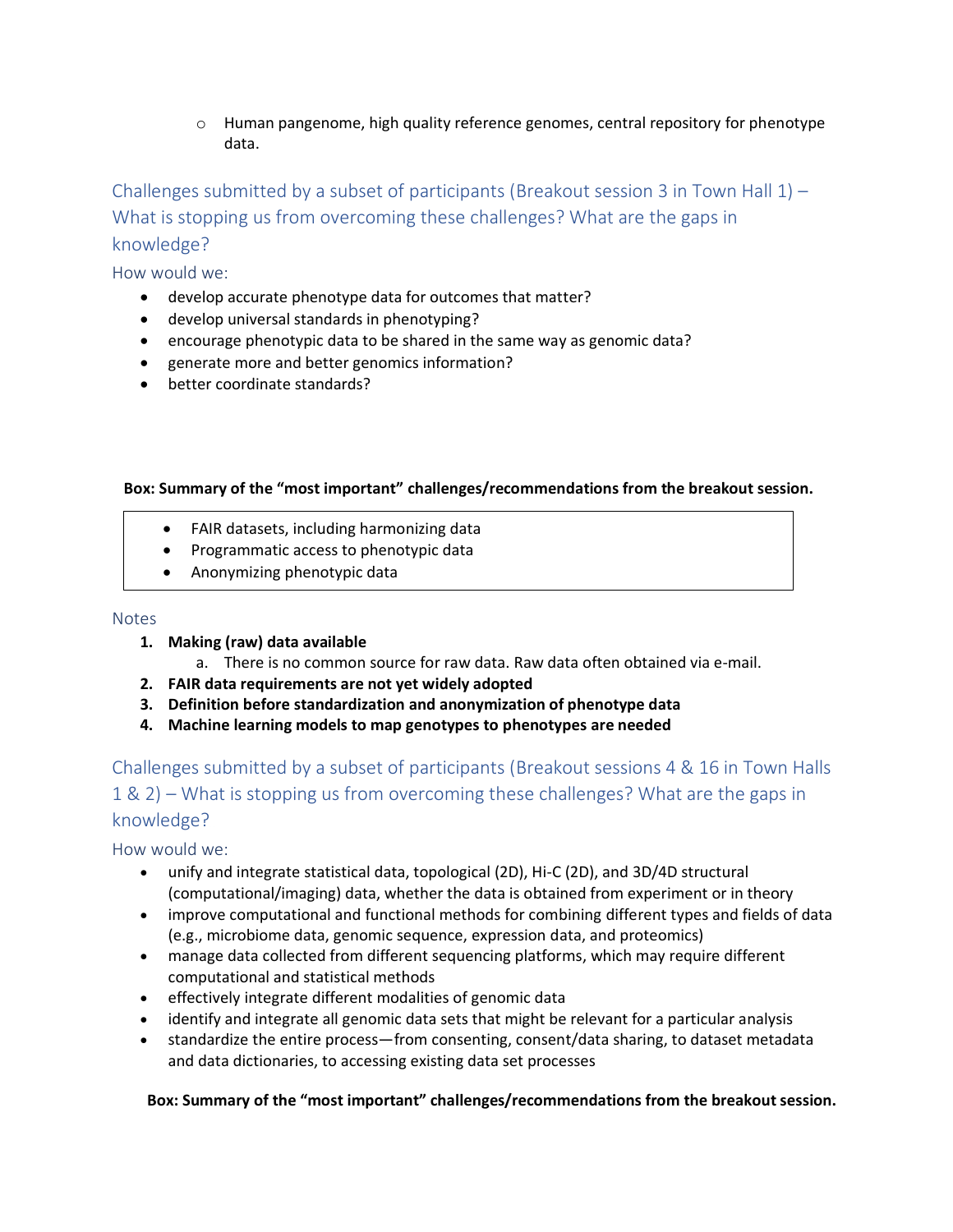$\circ$  Human pangenome, high quality reference genomes, central repository for phenotype data.

Challenges submitted by a subset of participants (Breakout session 3 in Town Hall 1) – What is stopping us from overcoming these challenges? What are the gaps in knowledge?

How would we:

- develop accurate phenotype data for outcomes that matter?
- develop universal standards in phenotyping?
- encourage phenotypic data to be shared in the same way as genomic data?
- generate more and better genomics information?
- better coordinate standards?

#### **Box: Summary of the "most important" challenges/recommendations from the breakout session.**

- FAIR datasets, including harmonizing data
- Programmatic access to phenotypic data
- Anonymizing phenotypic data

#### Notes

- **1. Making (raw) data available**
	- a. There is no common source for raw data. Raw data often obtained via e-mail.
- **2. FAIR data requirements are not yet widely adopted**
- **3. Definition before standardization and anonymization of phenotype data**
- **4. Machine learning models to map genotypes to phenotypes are needed**

# Challenges submitted by a subset of participants (Breakout sessions 4 & 16 in Town Halls 1 & 2) – What is stopping us from overcoming these challenges? What are the gaps in knowledge?

How would we:

- unify and integrate statistical data, topological (2D), Hi-C (2D), and 3D/4D structural (computational/imaging) data, whether the data is obtained from experiment or in theory
- improve computational and functional methods for combining different types and fields of data (e.g., microbiome data, genomic sequence, expression data, and proteomics)
- manage data collected from different sequencing platforms, which may require different computational and statistical methods
- effectively integrate different modalities of genomic data
- identify and integrate all genomic data sets that might be relevant for a particular analysis
- standardize the entire process—from consenting, consent/data sharing, to dataset metadata and data dictionaries, to accessing existing data set processes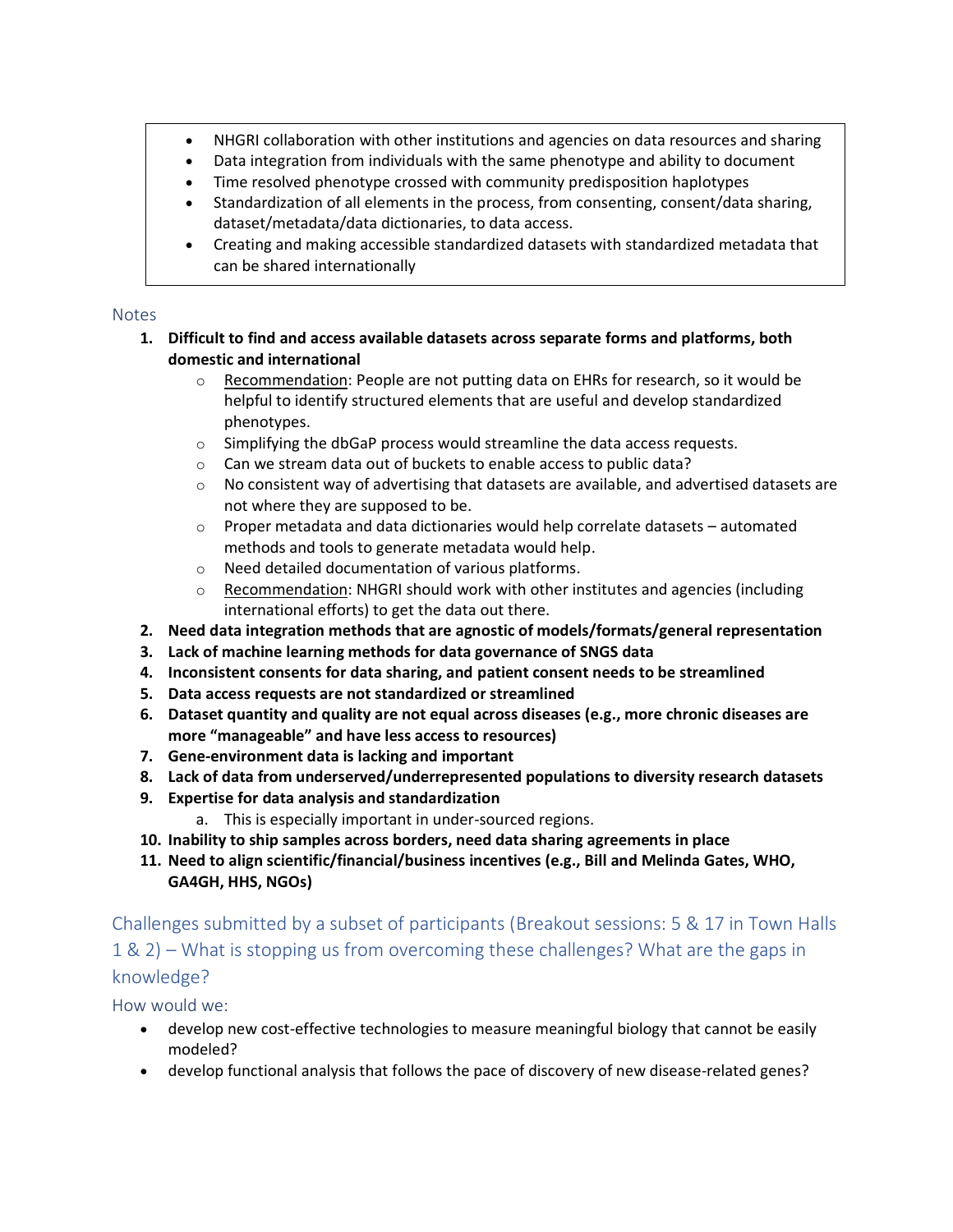- NHGRI collaboration with other institutions and agencies on data resources and sharing
- Data integration from individuals with the same phenotype and ability to document
- Time resolved phenotype crossed with community predisposition haplotypes
- Standardization of all elements in the process, from consenting, consent/data sharing, dataset/metadata/data dictionaries, to data access.
- Creating and making accessible standardized datasets with standardized metadata that can be shared internationally

- **1. Difficult to find and access available datasets across separate forms and platforms, both domestic and international**
	- $\circ$  Recommendation: People are not putting data on EHRs for research, so it would be helpful to identify structured elements that are useful and develop standardized phenotypes.
	- $\circ$  Simplifying the dbGaP process would streamline the data access requests.
	- o Can we stream data out of buckets to enable access to public data?
	- $\circ$  No consistent way of advertising that datasets are available, and advertised datasets are not where they are supposed to be.
	- $\circ$  Proper metadata and data dictionaries would help correlate datasets automated methods and tools to generate metadata would help.
	- o Need detailed documentation of various platforms.
	- o Recommendation: NHGRI should work with other institutes and agencies (including international efforts) to get the data out there.
- **2. Need data integration methods that are agnostic of models/formats/general representation**
- **3. Lack of machine learning methods for data governance of SNGS data**
- **4. Inconsistent consents for data sharing, and patient consent needs to be streamlined**
- **5. Data access requests are not standardized or streamlined**
- **6. Dataset quantity and quality are not equal across diseases (e.g., more chronic diseases are more "manageable" and have less access to resources)**
- **7. Gene-environment data is lacking and important**
- **8. Lack of data from underserved/underrepresented populations to diversity research datasets**
- **9. Expertise for data analysis and standardization**
	- a. This is especially important in under-sourced regions.
- **10. Inability to ship samples across borders, need data sharing agreements in place**
- **11. Need to align scientific/financial/business incentives (e.g., Bill and Melinda Gates, WHO, GA4GH, HHS, NGOs)**

Challenges submitted by a subset of participants (Breakout sessions: 5 & 17 in Town Halls 1 & 2) – What is stopping us from overcoming these challenges? What are the gaps in knowledge?

How would we:

- develop new cost-effective technologies to measure meaningful biology that cannot be easily modeled?
- develop functional analysis that follows the pace of discovery of new disease-related genes?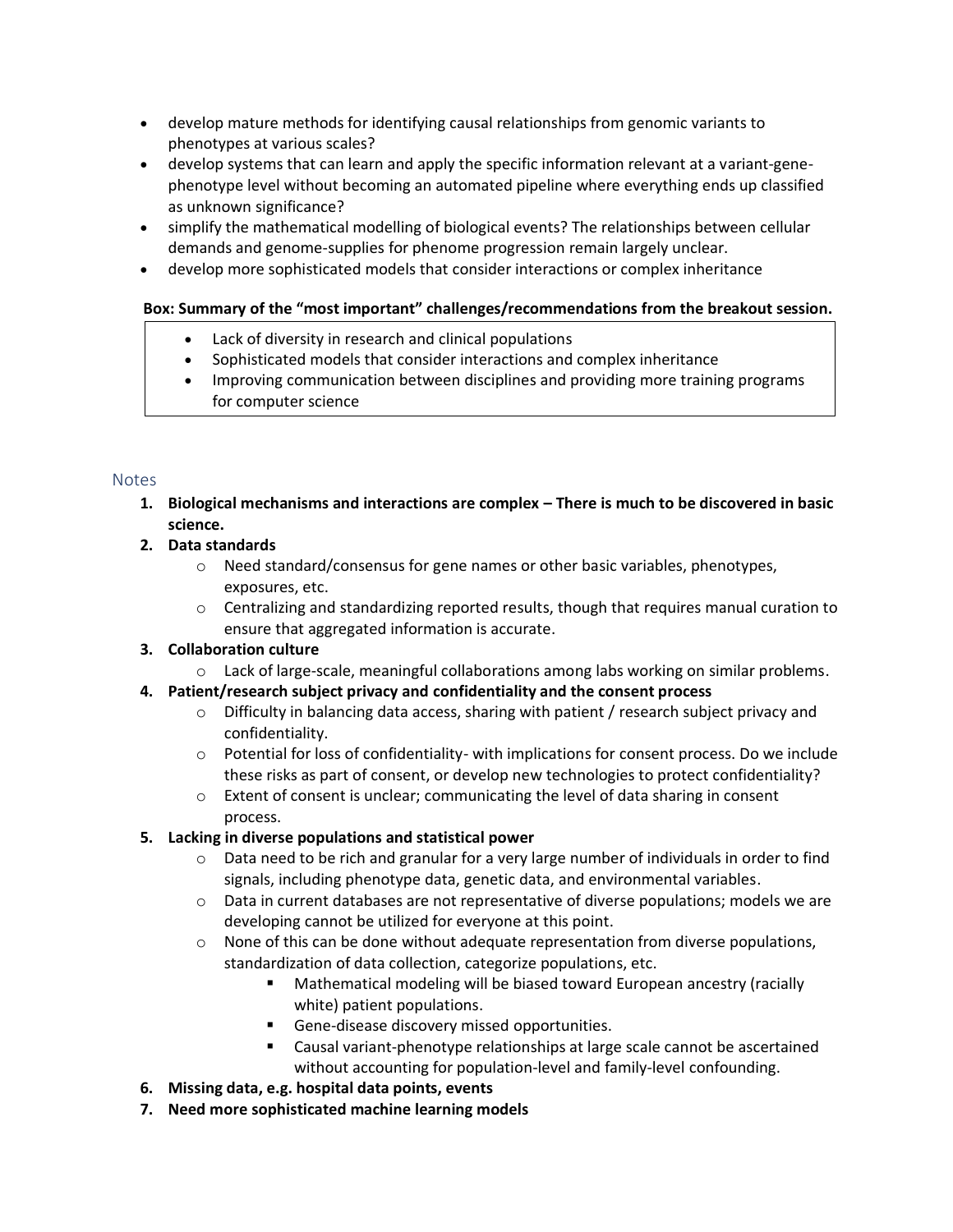- develop mature methods for identifying causal relationships from genomic variants to phenotypes at various scales?
- develop systems that can learn and apply the specific information relevant at a variant-genephenotype level without becoming an automated pipeline where everything ends up classified as unknown significance?
- simplify the mathematical modelling of biological events? The relationships between cellular demands and genome-supplies for phenome progression remain largely unclear.
- develop more sophisticated models that consider interactions or complex inheritance

# **Box: Summary of the "most important" challenges/recommendations from the breakout session.**

- Lack of diversity in research and clinical populations
- Sophisticated models that consider interactions and complex inheritance
- Improving communication between disciplines and providing more training programs for computer science

#### Notes

**1. Biological mechanisms and interactions are complex – There is much to be discovered in basic science.**

# **2. Data standards**

- $\circ$  Need standard/consensus for gene names or other basic variables, phenotypes, exposures, etc.
- $\circ$  Centralizing and standardizing reported results, though that requires manual curation to ensure that aggregated information is accurate.

# **3. Collaboration culture**

 $\circ$  Lack of large-scale, meaningful collaborations among labs working on similar problems.

# **4. Patient/research subject privacy and confidentiality and the consent process**

- $\circ$  Difficulty in balancing data access, sharing with patient / research subject privacy and confidentiality.
- $\circ$  Potential for loss of confidentiality- with implications for consent process. Do we include these risks as part of consent, or develop new technologies to protect confidentiality?
- $\circ$  Extent of consent is unclear; communicating the level of data sharing in consent process.

# **5. Lacking in diverse populations and statistical power**

- $\circ$  Data need to be rich and granular for a very large number of individuals in order to find signals, including phenotype data, genetic data, and environmental variables.
- $\circ$  Data in current databases are not representative of diverse populations; models we are developing cannot be utilized for everyone at this point.
- $\circ$  None of this can be done without adequate representation from diverse populations, standardization of data collection, categorize populations, etc.
	- Mathematical modeling will be biased toward European ancestry (racially white) patient populations.
	- **E** Gene-disease discovery missed opportunities.
	- Causal variant-phenotype relationships at large scale cannot be ascertained without accounting for population-level and family-level confounding.
- **6. Missing data, e.g. hospital data points, events**
- **7. Need more sophisticated machine learning models**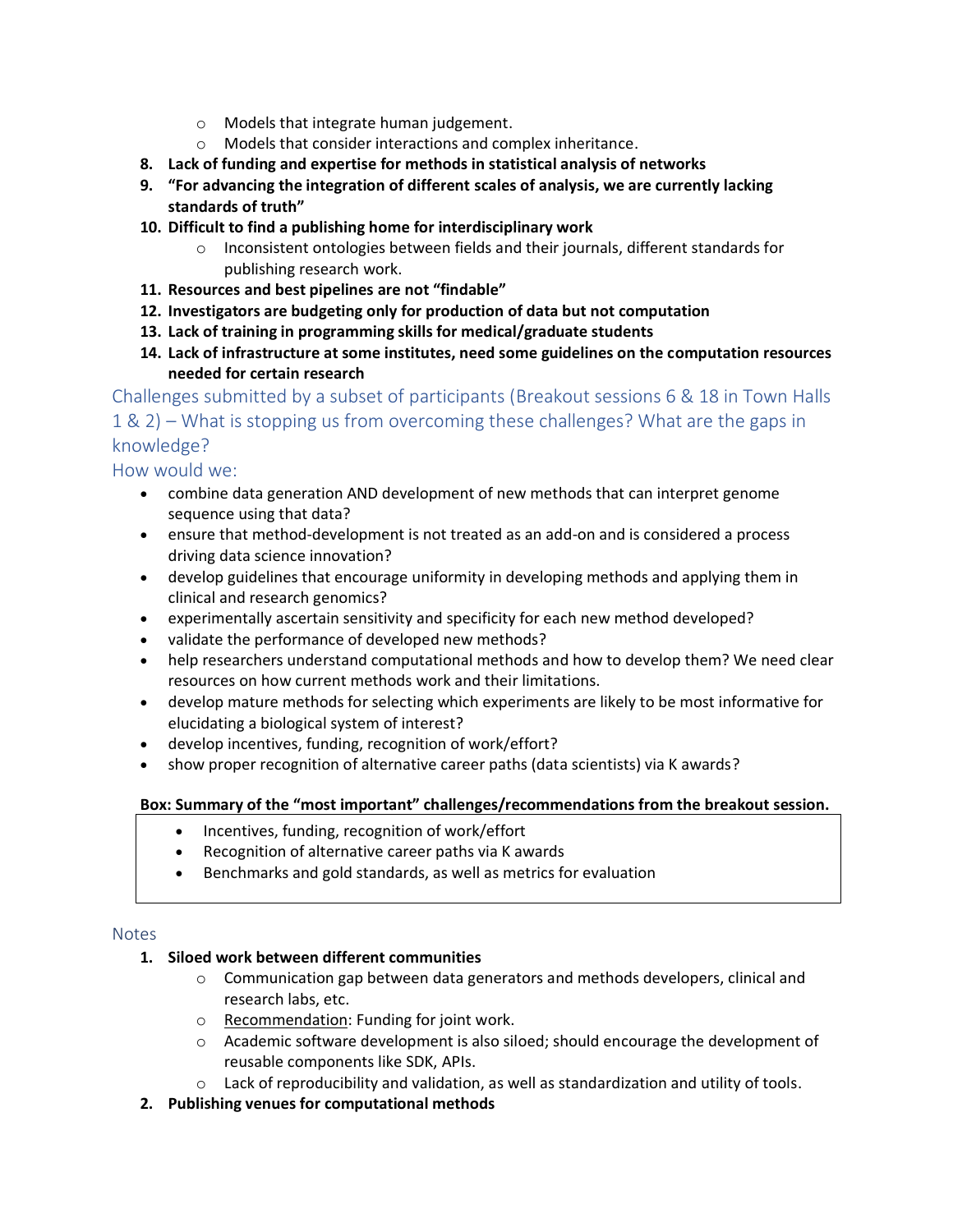- o Models that integrate human judgement.
- o Models that consider interactions and complex inheritance.
- **8. Lack of funding and expertise for methods in statistical analysis of networks**
- **9. "For advancing the integration of different scales of analysis, we are currently lacking standards of truth"**
- **10. Difficult to find a publishing home for interdisciplinary work**
	- $\circ$  Inconsistent ontologies between fields and their journals, different standards for publishing research work.
- **11. Resources and best pipelines are not "findable"**
- **12. Investigators are budgeting only for production of data but not computation**
- **13. Lack of training in programming skills for medical/graduate students**
- **14. Lack of infrastructure at some institutes, need some guidelines on the computation resources needed for certain research**

Challenges submitted by a subset of participants (Breakout sessions 6 & 18 in Town Halls 1 & 2) – What is stopping us from overcoming these challenges? What are the gaps in knowledge?

How would we:

- combine data generation AND development of new methods that can interpret genome sequence using that data?
- ensure that method-development is not treated as an add-on and is considered a process driving data science innovation?
- develop guidelines that encourage uniformity in developing methods and applying them in clinical and research genomics?
- experimentally ascertain sensitivity and specificity for each new method developed?
- validate the performance of developed new methods?
- help researchers understand computational methods and how to develop them? We need clear resources on how current methods work and their limitations.
- develop mature methods for selecting which experiments are likely to be most informative for elucidating a biological system of interest?
- develop incentives, funding, recognition of work/effort?
- show proper recognition of alternative career paths (data scientists) via K awards?

#### **Box: Summary of the "most important" challenges/recommendations from the breakout session.**

- Incentives, funding, recognition of work/effort
- Recognition of alternative career paths via K awards
- Benchmarks and gold standards, as well as metrics for evaluation

#### **Notes**

#### **1. Siloed work between different communities**

- $\circ$  Communication gap between data generators and methods developers, clinical and research labs, etc.
- o Recommendation: Funding for joint work.
- o Academic software development is also siloed; should encourage the development of reusable components like SDK, APIs.
- $\circ$  Lack of reproducibility and validation, as well as standardization and utility of tools.
- **2. Publishing venues for computational methods**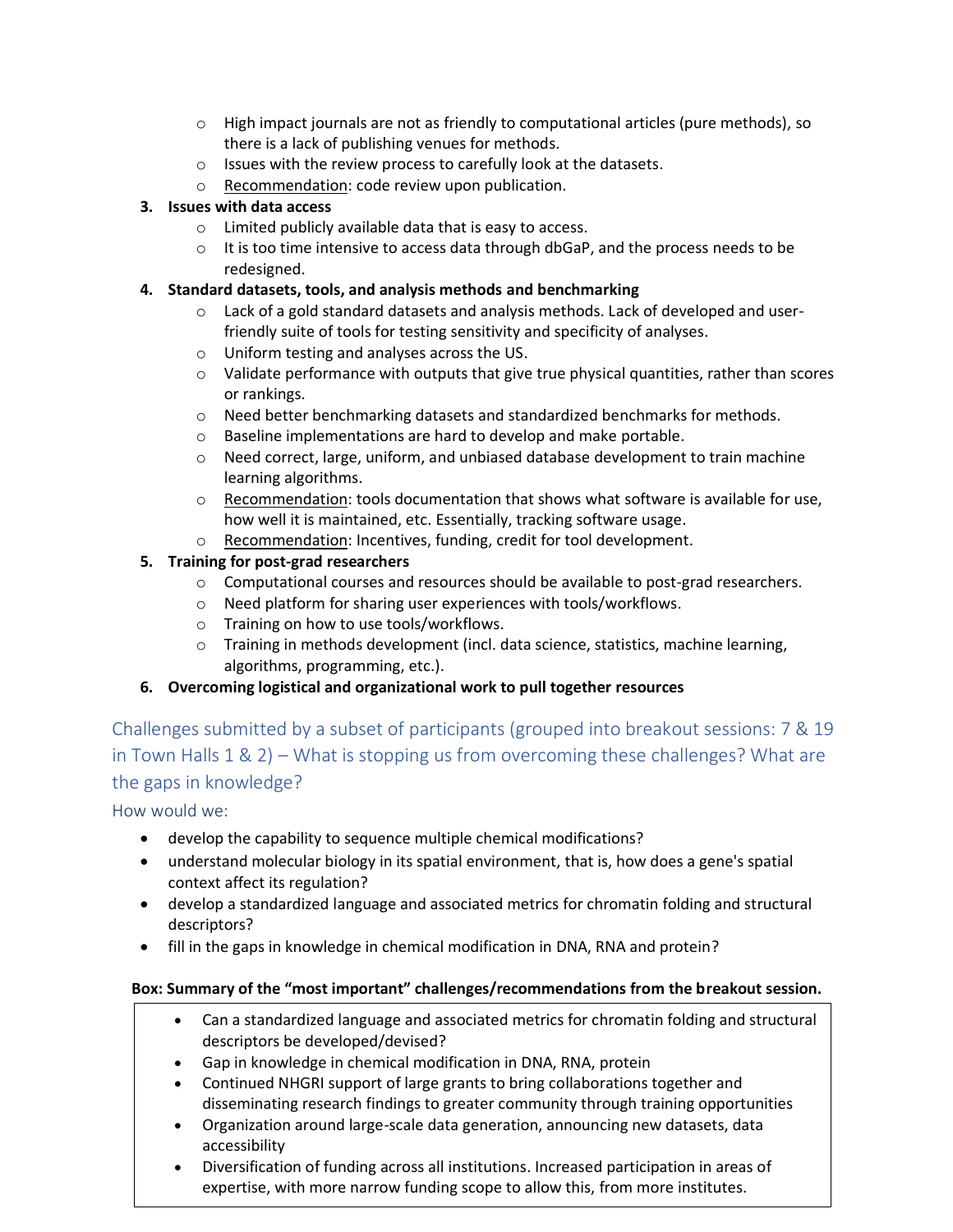- $\circ$  High impact journals are not as friendly to computational articles (pure methods), so there is a lack of publishing venues for methods.
- o Issues with the review process to carefully look at the datasets.
- o Recommendation: code review upon publication.

# **3. Issues with data access**

- o Limited publicly available data that is easy to access.
- $\circ$  It is too time intensive to access data through dbGaP, and the process needs to be redesigned.

# **4. Standard datasets, tools, and analysis methods and benchmarking**

- $\circ$  Lack of a gold standard datasets and analysis methods. Lack of developed and userfriendly suite of tools for testing sensitivity and specificity of analyses.
- o Uniform testing and analyses across the US.
- $\circ$  Validate performance with outputs that give true physical quantities, rather than scores or rankings.
- $\circ$  Need better benchmarking datasets and standardized benchmarks for methods.
- o Baseline implementations are hard to develop and make portable.
- $\circ$  Need correct, large, uniform, and unbiased database development to train machine learning algorithms.
- $\circ$  Recommendation: tools documentation that shows what software is available for use, how well it is maintained, etc. Essentially, tracking software usage.
- o Recommendation: Incentives, funding, credit for tool development.

# **5. Training for post-grad researchers**

- $\circ$  Computational courses and resources should be available to post-grad researchers.
- o Need platform for sharing user experiences with tools/workflows.
- o Training on how to use tools/workflows.
- o Training in methods development (incl. data science, statistics, machine learning, algorithms, programming, etc.).

# **6. Overcoming logistical and organizational work to pull together resources**

Challenges submitted by a subset of participants (grouped into breakout sessions: 7 & 19 in Town Halls 1 & 2) – What is stopping us from overcoming these challenges? What are the gaps in knowledge?

How would we:

- develop the capability to sequence multiple chemical modifications?
- understand molecular biology in its spatial environment, that is, how does a gene's spatial context affect its regulation?
- develop a standardized language and associated metrics for chromatin folding and structural descriptors?
- fill in the gaps in knowledge in chemical modification in DNA, RNA and protein?

- Can a standardized language and associated metrics for chromatin folding and structural descriptors be developed/devised?
- Gap in knowledge in chemical modification in DNA, RNA, protein
- Continued NHGRI support of large grants to bring collaborations together and disseminating research findings to greater community through training opportunities
- Organization around large-scale data generation, announcing new datasets, data accessibility
- Diversification of funding across all institutions. Increased participation in areas of expertise, with more narrow funding scope to allow this, from more institutes.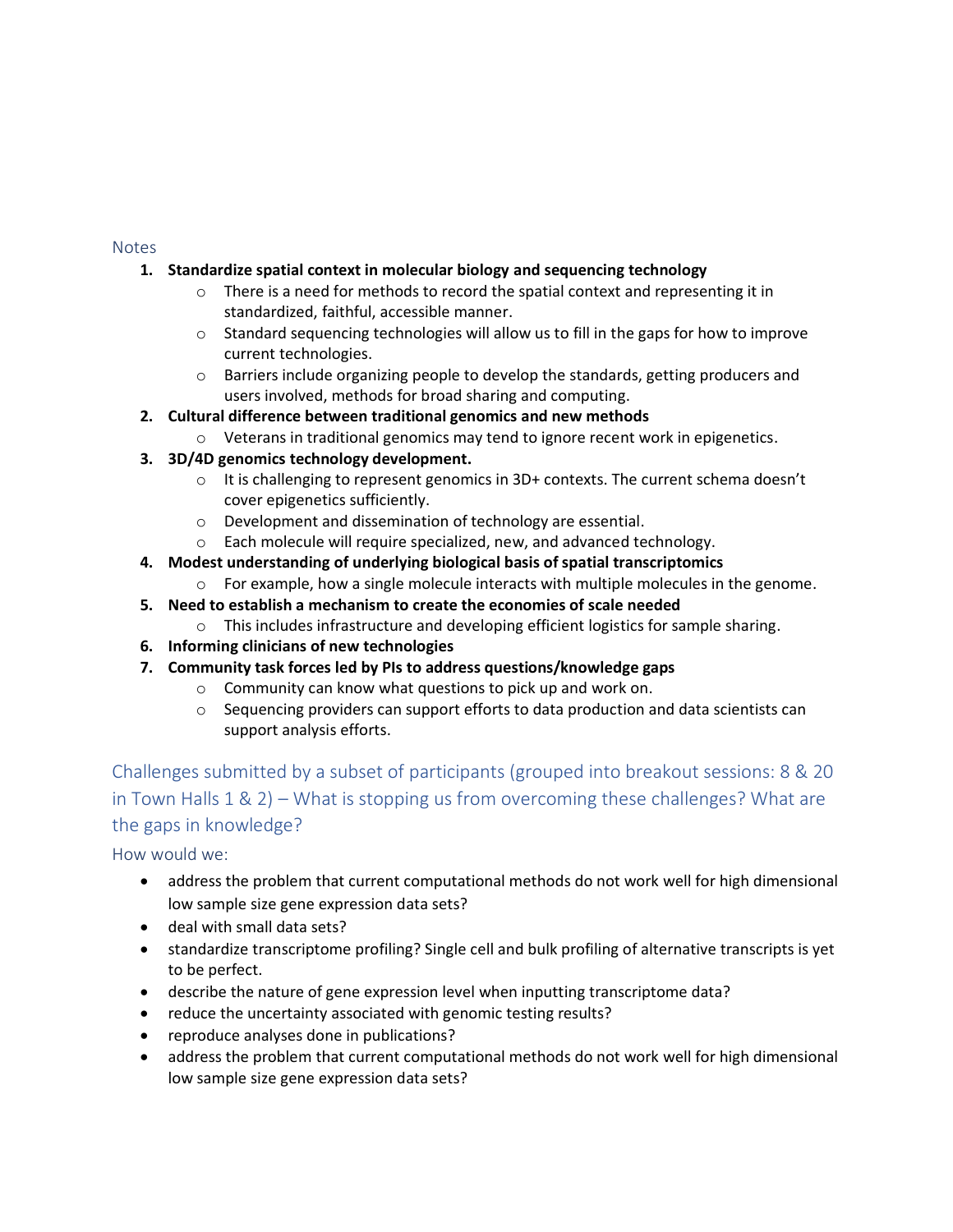# **1. Standardize spatial context in molecular biology and sequencing technology**

- o There is a need for methods to record the spatial context and representing it in standardized, faithful, accessible manner.
- $\circ$  Standard sequencing technologies will allow us to fill in the gaps for how to improve current technologies.
- $\circ$  Barriers include organizing people to develop the standards, getting producers and users involved, methods for broad sharing and computing.

# **2. Cultural difference between traditional genomics and new methods**

 $\circ$  Veterans in traditional genomics may tend to ignore recent work in epigenetics.

#### **3. 3D/4D genomics technology development.**

- $\circ$  It is challenging to represent genomics in 3D+ contexts. The current schema doesn't cover epigenetics sufficiently.
- o Development and dissemination of technology are essential.
- o Each molecule will require specialized, new, and advanced technology.
- **4. Modest understanding of underlying biological basis of spatial transcriptomics**
	- $\circ$  For example, how a single molecule interacts with multiple molecules in the genome.
- **5. Need to establish a mechanism to create the economies of scale needed**
	- $\circ$  This includes infrastructure and developing efficient logistics for sample sharing.
- **6. Informing clinicians of new technologies**
- **7. Community task forces led by PIs to address questions/knowledge gaps**
	- o Community can know what questions to pick up and work on.
	- $\circ$  Sequencing providers can support efforts to data production and data scientists can support analysis efforts.

Challenges submitted by a subset of participants (grouped into breakout sessions: 8 & 20 in Town Halls 1 & 2) – What is stopping us from overcoming these challenges? What are the gaps in knowledge?

How would we:

- address the problem that current computational methods do not work well for high dimensional low sample size gene expression data sets?
- deal with small data sets?
- standardize transcriptome profiling? Single cell and bulk profiling of alternative transcripts is yet to be perfect.
- describe the nature of gene expression level when inputting transcriptome data?
- reduce the uncertainty associated with genomic testing results?
- reproduce analyses done in publications?
- address the problem that current computational methods do not work well for high dimensional low sample size gene expression data sets?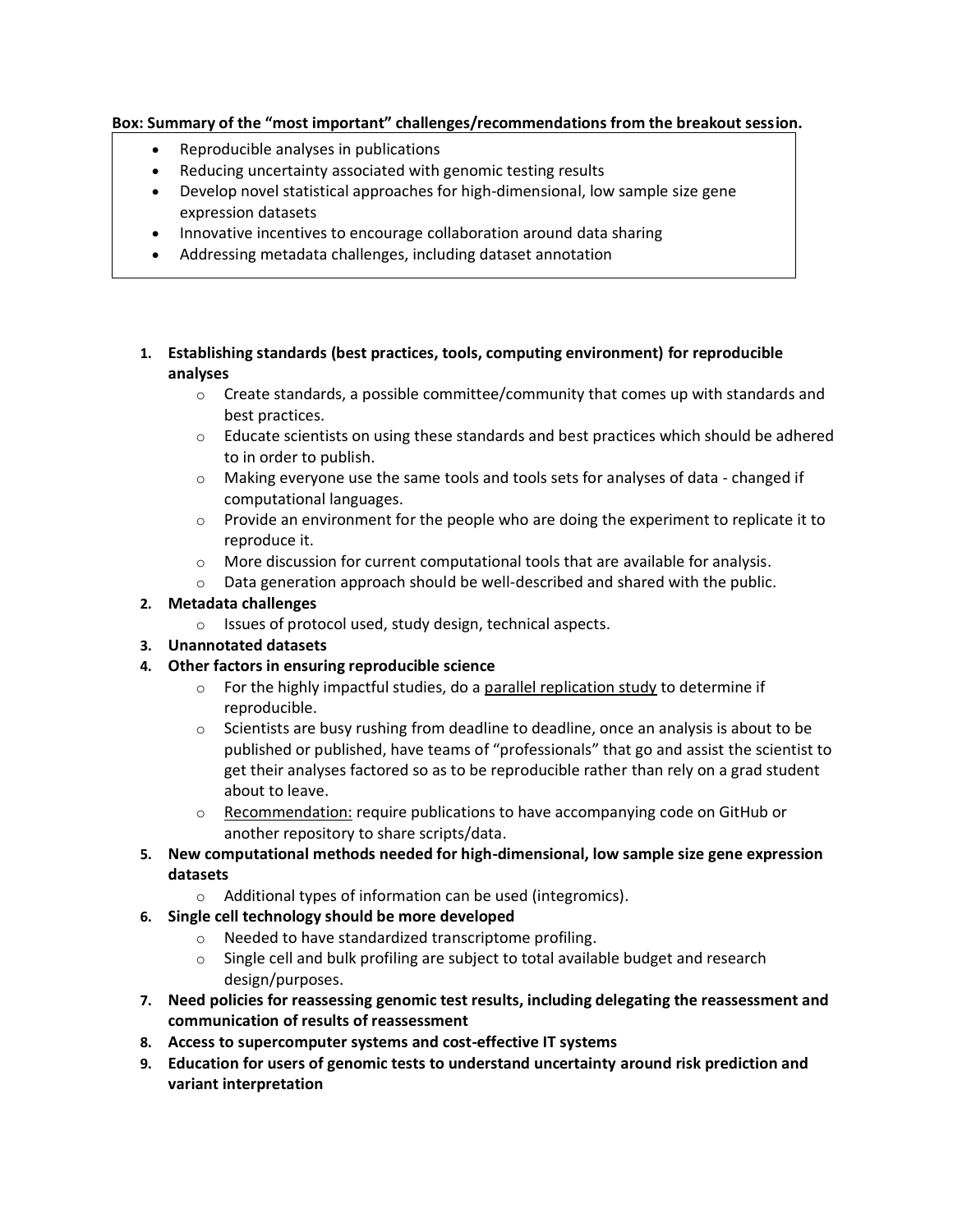#### **Box: Summary of the "most important" challenges/recommendations from the breakout session.**

- Reproducible analyses in publications
- Reducing uncertainty associated with genomic testing results
- Develop novel statistical approaches for high-dimensional, low sample size gene expression datasets
- Innovative incentives to encourage collaboration around data sharing
- Addressing metadata challenges, including dataset annotation
- **1. Establishing standards (best practices, tools, computing environment) for reproducible analyses**
	- $\circ$  Create standards, a possible committee/community that comes up with standards and best practices.
	- $\circ$  Educate scientists on using these standards and best practices which should be adhered to in order to publish.
	- $\circ$  Making everyone use the same tools and tools sets for analyses of data changed if computational languages.
	- $\circ$  Provide an environment for the people who are doing the experiment to replicate it to reproduce it.
	- $\circ$  More discussion for current computational tools that are available for analysis.
	- $\circ$  Data generation approach should be well-described and shared with the public.

# **2. Metadata challenges**

o Issues of protocol used, study design, technical aspects.

# **3. Unannotated datasets**

# **4. Other factors in ensuring reproducible science**

- $\circ$  For the highly impactful studies, do a parallel replication study to determine if reproducible.
- $\circ$  Scientists are busy rushing from deadline to deadline, once an analysis is about to be published or published, have teams of "professionals" that go and assist the scientist to get their analyses factored so as to be reproducible rather than rely on a grad student about to leave.
- o Recommendation: require publications to have accompanying code on GitHub or another repository to share scripts/data.
- **5. New computational methods needed for high-dimensional, low sample size gene expression datasets**
	- o Additional types of information can be used (integromics).
- **6. Single cell technology should be more developed**
	- o Needed to have standardized transcriptome profiling.
	- o Single cell and bulk profiling are subject to total available budget and research design/purposes.
- **7. Need policies for reassessing genomic test results, including delegating the reassessment and communication of results of reassessment**
- **8. Access to supercomputer systems and cost-effective IT systems**
- **9. Education for users of genomic tests to understand uncertainty around risk prediction and variant interpretation**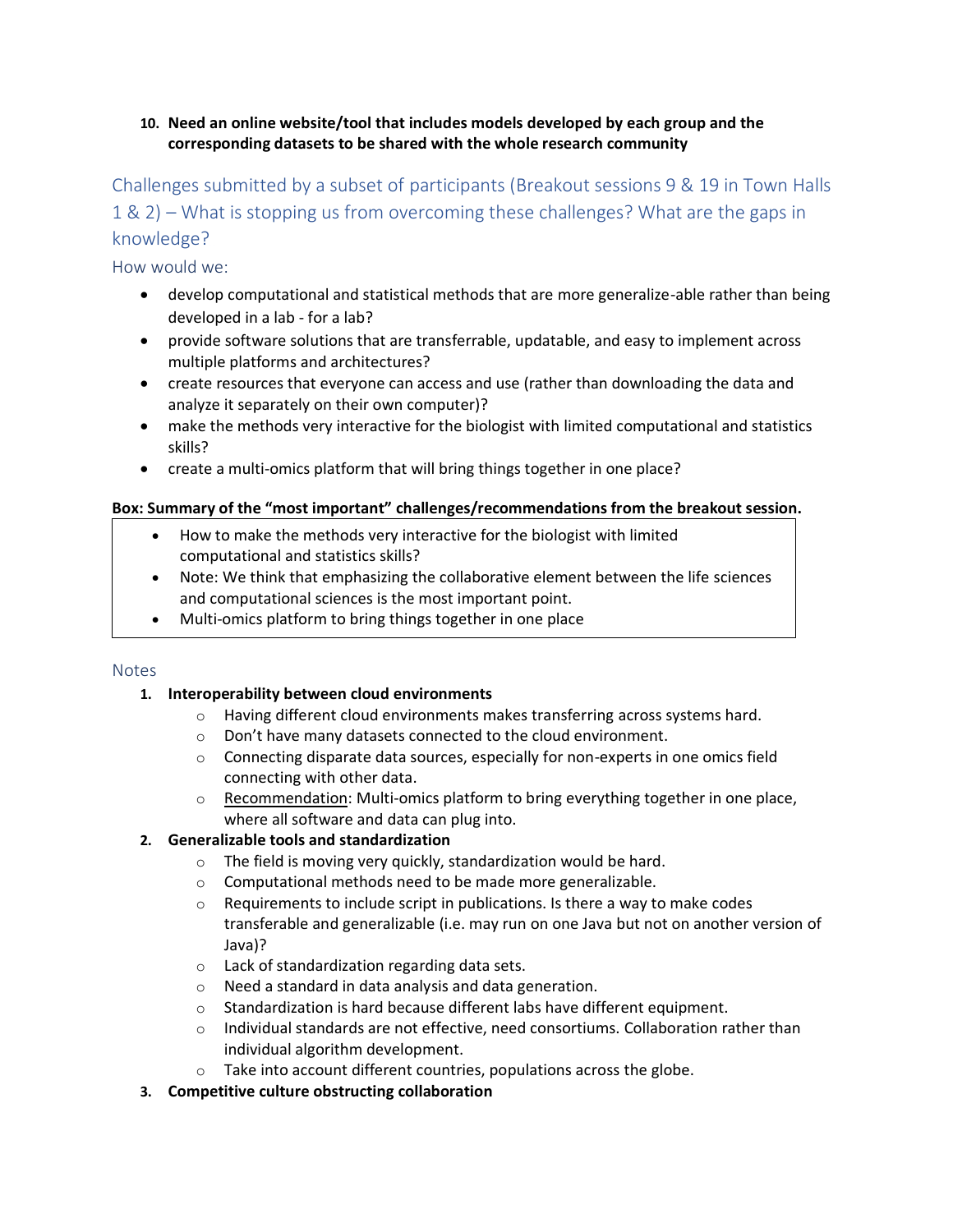### **10. Need an online website/tool that includes models developed by each group and the corresponding datasets to be shared with the whole research community**

# Challenges submitted by a subset of participants (Breakout sessions 9 & 19 in Town Halls 1 & 2) – What is stopping us from overcoming these challenges? What are the gaps in knowledge?

How would we:

- develop computational and statistical methods that are more generalize-able rather than being developed in a lab - for a lab?
- provide software solutions that are transferrable, updatable, and easy to implement across multiple platforms and architectures?
- create resources that everyone can access and use (rather than downloading the data and analyze it separately on their own computer)?
- make the methods very interactive for the biologist with limited computational and statistics skills?
- create a multi-omics platform that will bring things together in one place?

# **Box: Summary of the "most important" challenges/recommendations from the breakout session.**

- How to make the methods very interactive for the biologist with limited computational and statistics skills?
- Note: We think that emphasizing the collaborative element between the life sciences and computational sciences is the most important point.
- Multi-omics platform to bring things together in one place

#### **Notes**

# **1. Interoperability between cloud environments**

- o Having different cloud environments makes transferring across systems hard.
- o Don't have many datasets connected to the cloud environment.
- $\circ$  Connecting disparate data sources, especially for non-experts in one omics field connecting with other data.
- o Recommendation: Multi-omics platform to bring everything together in one place, where all software and data can plug into.

# **2. Generalizable tools and standardization**

- $\circ$  The field is moving very quickly, standardization would be hard.
- o Computational methods need to be made more generalizable.
- $\circ$  Requirements to include script in publications. Is there a way to make codes transferable and generalizable (i.e. may run on one Java but not on another version of Java)?
- o Lack of standardization regarding data sets.
- o Need a standard in data analysis and data generation.
- $\circ$  Standardization is hard because different labs have different equipment.
- $\circ$  Individual standards are not effective, need consortiums. Collaboration rather than individual algorithm development.
- o Take into account different countries, populations across the globe.
- **3. Competitive culture obstructing collaboration**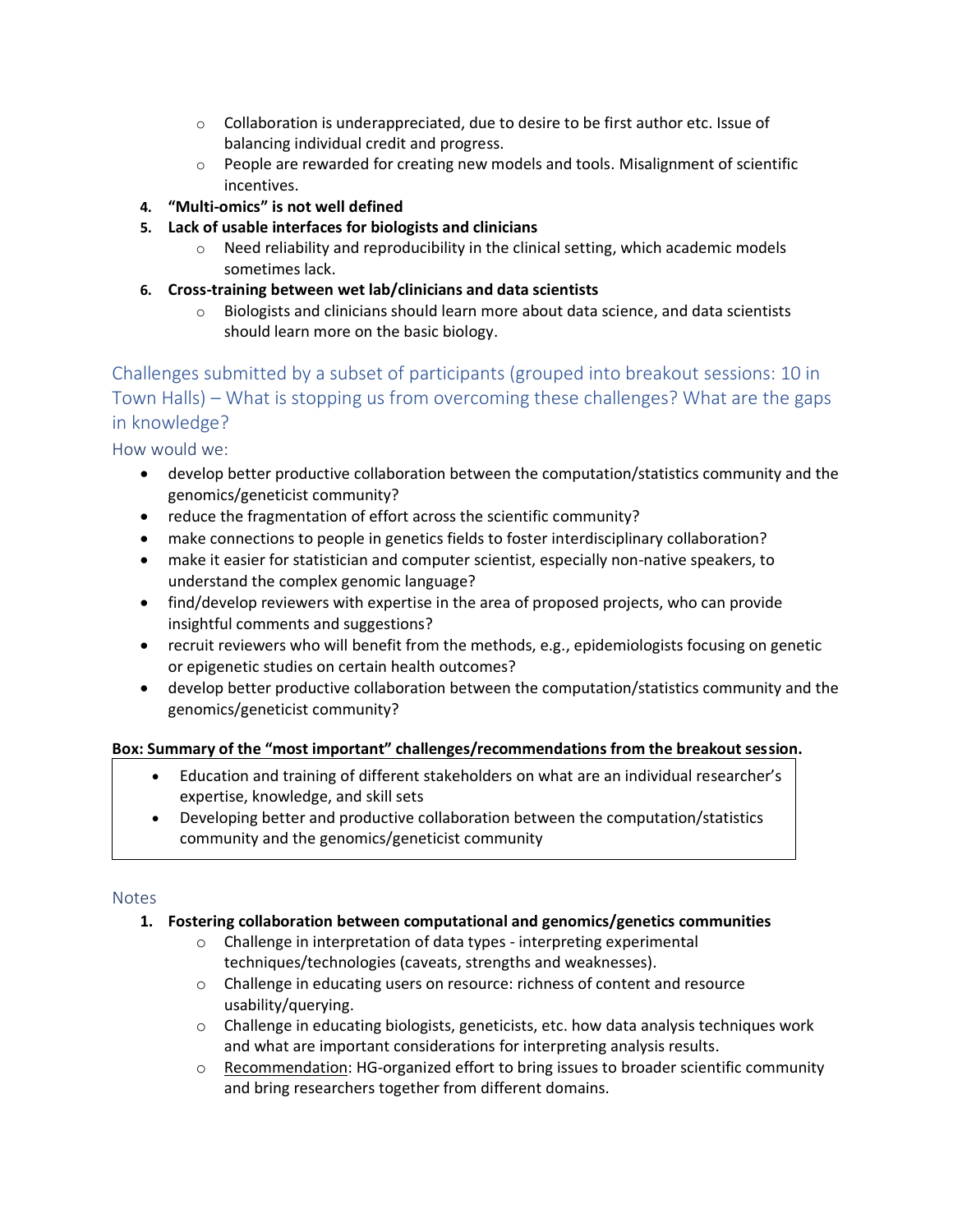- $\circ$  Collaboration is underappreciated, due to desire to be first author etc. Issue of balancing individual credit and progress.
- $\circ$  People are rewarded for creating new models and tools. Misalignment of scientific incentives.
- **4. "Multi-omics" is not well defined**
- **5. Lack of usable interfaces for biologists and clinicians**
	- $\circ$  Need reliability and reproducibility in the clinical setting, which academic models sometimes lack.
- **6. Cross-training between wet lab/clinicians and data scientists**
	- $\circ$  Biologists and clinicians should learn more about data science, and data scientists should learn more on the basic biology.

Challenges submitted by a subset of participants (grouped into breakout sessions: 10 in Town Halls) – What is stopping us from overcoming these challenges? What are the gaps in knowledge?

How would we:

- develop better productive collaboration between the computation/statistics community and the genomics/geneticist community?
- reduce the fragmentation of effort across the scientific community?
- make connections to people in genetics fields to foster interdisciplinary collaboration?
- make it easier for statistician and computer scientist, especially non-native speakers, to understand the complex genomic language?
- find/develop reviewers with expertise in the area of proposed projects, who can provide insightful comments and suggestions?
- recruit reviewers who will benefit from the methods, e.g., epidemiologists focusing on genetic or epigenetic studies on certain health outcomes?
- develop better productive collaboration between the computation/statistics community and the genomics/geneticist community?

# **Box: Summary of the "most important" challenges/recommendations from the breakout session.**

- Education and training of different stakeholders on what are an individual researcher's expertise, knowledge, and skill sets
- Developing better and productive collaboration between the computation/statistics community and the genomics/geneticist community

# Notes

# **1. Fostering collaboration between computational and genomics/genetics communities**

- o Challenge in interpretation of data types interpreting experimental techniques/technologies (caveats, strengths and weaknesses).
- o Challenge in educating users on resource: richness of content and resource usability/querying.
- $\circ$  Challenge in educating biologists, geneticists, etc. how data analysis techniques work and what are important considerations for interpreting analysis results.
- $\circ$  Recommendation: HG-organized effort to bring issues to broader scientific community and bring researchers together from different domains.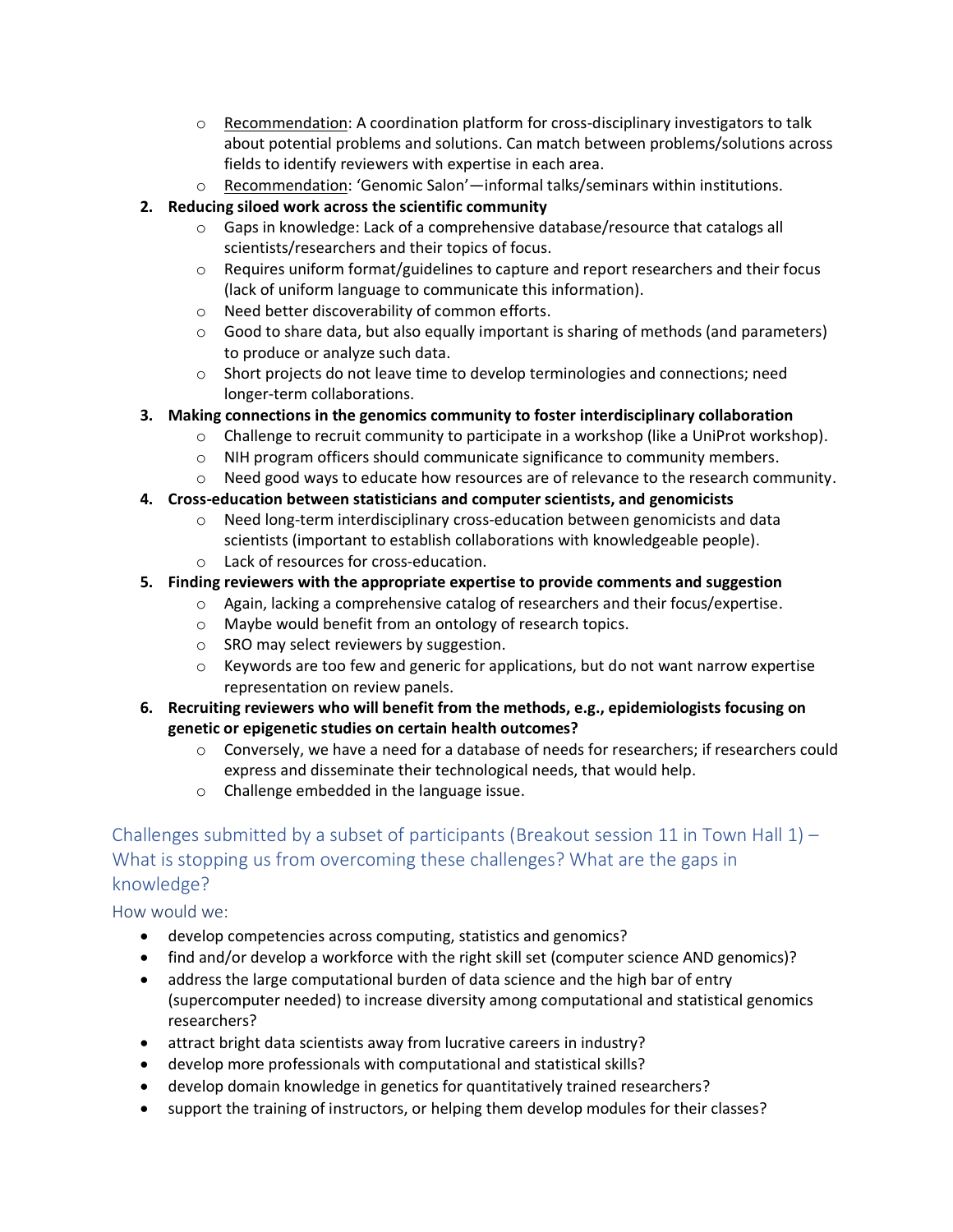- $\circ$  Recommendation: A coordination platform for cross-disciplinary investigators to talk about potential problems and solutions. Can match between problems/solutions across fields to identify reviewers with expertise in each area.
- o Recommendation: 'Genomic Salon'—informal talks/seminars within institutions.

# **2. Reducing siloed work across the scientific community**

- $\circ$  Gaps in knowledge: Lack of a comprehensive database/resource that catalogs all scientists/researchers and their topics of focus.
- $\circ$  Requires uniform format/guidelines to capture and report researchers and their focus (lack of uniform language to communicate this information).
- o Need better discoverability of common efforts.
- $\circ$  Good to share data, but also equally important is sharing of methods (and parameters) to produce or analyze such data.
- o Short projects do not leave time to develop terminologies and connections; need longer-term collaborations.

# **3. Making connections in the genomics community to foster interdisciplinary collaboration**

- $\circ$  Challenge to recruit community to participate in a workshop (like a UniProt workshop).
- o NIH program officers should communicate significance to community members.
- $\circ$  Need good ways to educate how resources are of relevance to the research community.

# **4. Cross-education between statisticians and computer scientists, and genomicists**

- o Need long-term interdisciplinary cross-education between genomicists and data scientists (important to establish collaborations with knowledgeable people).
- o Lack of resources for cross-education.

# **5. Finding reviewers with the appropriate expertise to provide comments and suggestion**

- $\circ$  Again, lacking a comprehensive catalog of researchers and their focus/expertise.
- o Maybe would benefit from an ontology of research topics.
- o SRO may select reviewers by suggestion.
- $\circ$  Keywords are too few and generic for applications, but do not want narrow expertise representation on review panels.
- **6. Recruiting reviewers who will benefit from the methods, e.g., epidemiologists focusing on genetic or epigenetic studies on certain health outcomes?**
	- $\circ$  Conversely, we have a need for a database of needs for researchers; if researchers could express and disseminate their technological needs, that would help.
	- o Challenge embedded in the language issue.

# Challenges submitted by a subset of participants (Breakout session 11 in Town Hall  $1$ ) – What is stopping us from overcoming these challenges? What are the gaps in knowledge?

# How would we:

- develop competencies across computing, statistics and genomics?
- find and/or develop a workforce with the right skill set (computer science AND genomics)?
- address the large computational burden of data science and the high bar of entry (supercomputer needed) to increase diversity among computational and statistical genomics researchers?
- attract bright data scientists away from lucrative careers in industry?
- develop more professionals with computational and statistical skills?
- develop domain knowledge in genetics for quantitatively trained researchers?
- support the training of instructors, or helping them develop modules for their classes?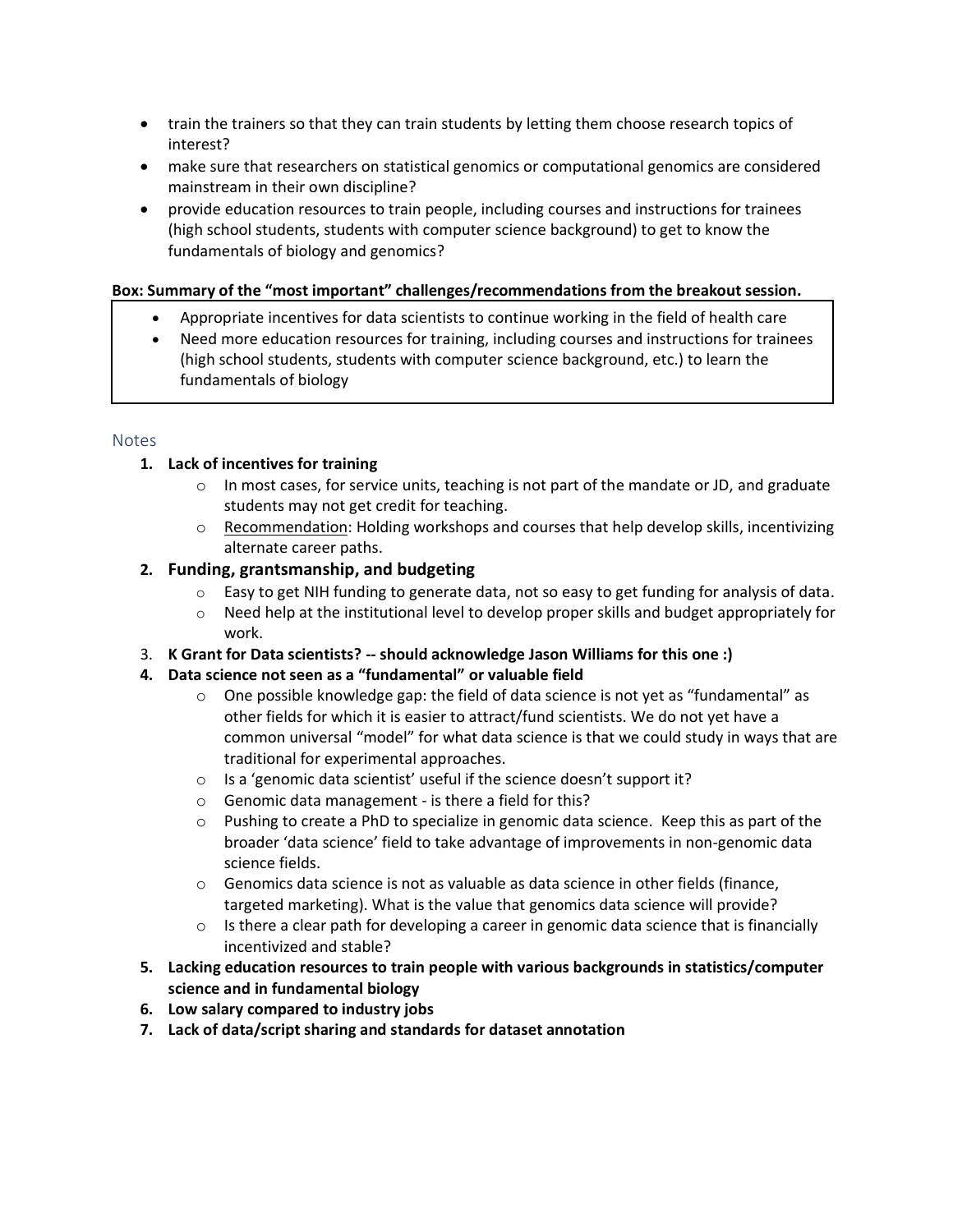- train the trainers so that they can train students by letting them choose research topics of interest?
- make sure that researchers on statistical genomics or computational genomics are considered mainstream in their own discipline?
- provide education resources to train people, including courses and instructions for trainees (high school students, students with computer science background) to get to know the fundamentals of biology and genomics?

#### **Box: Summary of the "most important" challenges/recommendations from the breakout session.**

- Appropriate incentives for data scientists to continue working in the field of health care
- Need more education resources for training, including courses and instructions for trainees (high school students, students with computer science background, etc.) to learn the fundamentals of biology

#### **Notes**

# **1. Lack of incentives for training**

- $\circ$  In most cases, for service units, teaching is not part of the mandate or JD, and graduate students may not get credit for teaching.
- $\circ$  Recommendation: Holding workshops and courses that help develop skills, incentivizing alternate career paths.

# **2. Funding, grantsmanship, and budgeting**

- $\circ$  Easy to get NIH funding to generate data, not so easy to get funding for analysis of data.
- $\circ$  Need help at the institutional level to develop proper skills and budget appropriately for work.
- 3. **K Grant for Data scientists? -- should acknowledge Jason Williams for this one :)**
- **4. Data science not seen as a "fundamental" or valuable field**
	- $\circ$  One possible knowledge gap: the field of data science is not yet as "fundamental" as other fields for which it is easier to attract/fund scientists. We do not yet have a common universal "model" for what data science is that we could study in ways that are traditional for experimental approaches.
	- o Is a 'genomic data scientist' useful if the science doesn't support it?
	- o Genomic data management is there a field for this?
	- o Pushing to create a PhD to specialize in genomic data science. Keep this as part of the broader 'data science' field to take advantage of improvements in non-genomic data science fields.
	- $\circ$  Genomics data science is not as valuable as data science in other fields (finance, targeted marketing). What is the value that genomics data science will provide?
	- $\circ$  Is there a clear path for developing a career in genomic data science that is financially incentivized and stable?
- **5. Lacking education resources to train people with various backgrounds in statistics/computer science and in fundamental biology**
- **6. Low salary compared to industry jobs**
- **7. Lack of data/script sharing and standards for dataset annotation**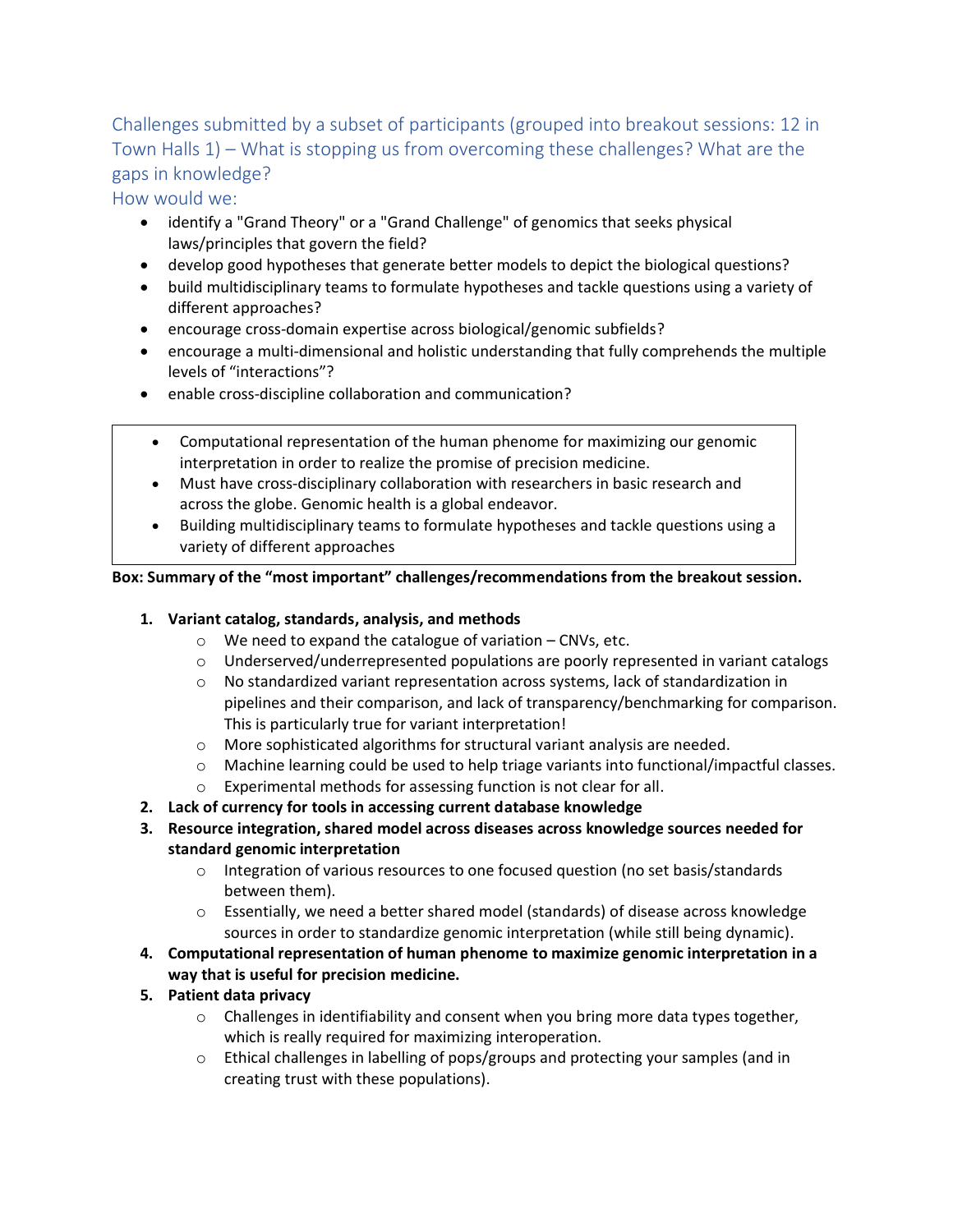Challenges submitted by a subset of participants (grouped into breakout sessions: 12 in Town Halls 1) – What is stopping us from overcoming these challenges? What are the gaps in knowledge?

How would we:

- identify a "Grand Theory" or a "Grand Challenge" of genomics that seeks physical laws/principles that govern the field?
- develop good hypotheses that generate better models to depict the biological questions?
- build multidisciplinary teams to formulate hypotheses and tackle questions using a variety of different approaches?
- encourage cross-domain expertise across biological/genomic subfields?
- encourage a multi-dimensional and holistic understanding that fully comprehends the multiple levels of "interactions"?
- enable cross-discipline collaboration and communication?
	- Computational representation of the human phenome for maximizing our genomic interpretation in order to realize the promise of precision medicine.
	- Must have cross-disciplinary collaboration with researchers in basic research and across the globe. Genomic health is a global endeavor.
- Building multidisciplinary teams to formulate hypotheses and tackle questions using a variety of different approaches

- **1. Variant catalog, standards, analysis, and methods**
	- o We need to expand the catalogue of variation CNVs, etc.
	- $\circ$  Underserved/underrepresented populations are poorly represented in variant catalogs
	- $\circ$  No standardized variant representation across systems, lack of standardization in pipelines and their comparison, and lack of transparency/benchmarking for comparison. This is particularly true for variant interpretation!
	- o More sophisticated algorithms for structural variant analysis are needed.
	- o Machine learning could be used to help triage variants into functional/impactful classes.
	- o Experimental methods for assessing function is not clear for all.
- **2. Lack of currency for tools in accessing current database knowledge**
- **3. Resource integration, shared model across diseases across knowledge sources needed for standard genomic interpretation**
	- $\circ$  Integration of various resources to one focused question (no set basis/standards between them).
	- $\circ$  Essentially, we need a better shared model (standards) of disease across knowledge sources in order to standardize genomic interpretation (while still being dynamic).
- **4. Computational representation of human phenome to maximize genomic interpretation in a way that is useful for precision medicine.**
- **5. Patient data privacy**
	- $\circ$  Challenges in identifiability and consent when you bring more data types together, which is really required for maximizing interoperation.
	- o Ethical challenges in labelling of pops/groups and protecting your samples (and in creating trust with these populations).